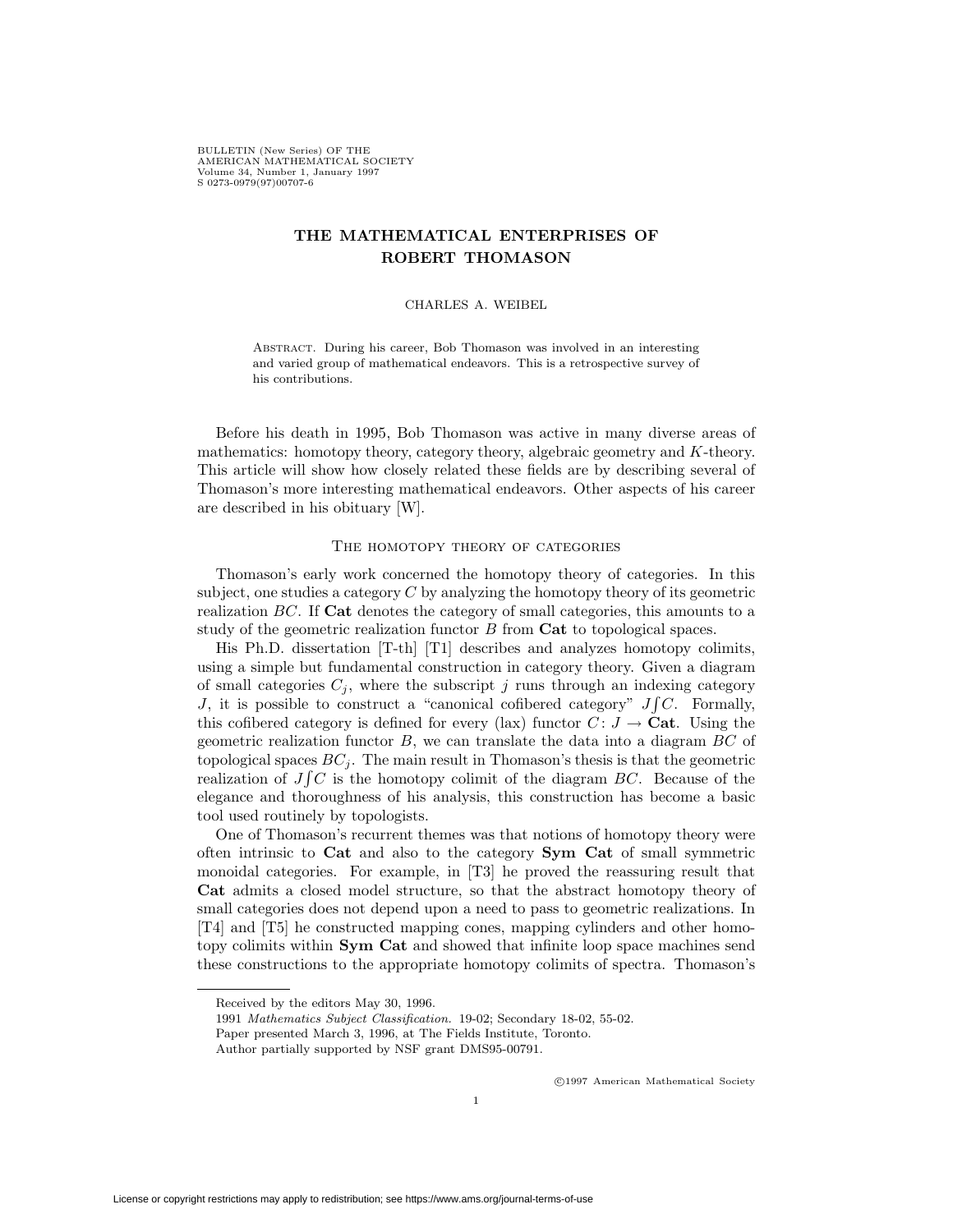BULLETIN (New Series) OF THE AMERICAN MATHEMATICAL SOCIETY Volume 34, Number 1, January 1997 S 0273-0979(97)00707-6

# **THE MATHEMATICAL ENTERPRISES OF ROBERT THOMASON**

### CHARLES A. WEIBEL

Abstract. During his career, Bob Thomason was involved in an interesting and varied group of mathematical endeavors. This is a retrospective survey of his contributions.

Before his death in 1995, Bob Thomason was active in many diverse areas of mathematics: homotopy theory, category theory, algebraic geometry and K-theory. This article will show how closely related these fields are by describing several of Thomason's more interesting mathematical endeavors. Other aspects of his career are described in his obituary [W].

# THE HOMOTOPY THEORY OF CATEGORIES

Thomason's early work concerned the homotopy theory of categories. In this subject, one studies a category  $C$  by analyzing the homotopy theory of its geometric realization BC. If **Cat** denotes the category of small categories, this amounts to a study of the geometric realization functor B from **Cat** to topological spaces.

His Ph.D. dissertation [T-th] [T1] describes and analyzes homotopy colimits, using a simple but fundamental construction in category theory. Given a diagram of small categories  $C_i$ , where the subscript j runs through an indexing category J, it is possible to construct a "canonical cofibered category"  $J\int C$ . Formally, this cofibered category is defined for every (lax) functor  $C: J \to \mathbf{Cat}$ . Using the geometric realization functor  $B$ , we can translate the data into a diagram  $BC$  of topological spaces  $BC_j$ . The main result in Thomason's thesis is that the geometric realization of  $J \int C$  is the homotopy colimit of the diagram  $BC$ . Because of the elegance and thoroughness of his analysis, this construction has become a basic tool used routinely by topologists.

One of Thomason's recurrent themes was that notions of homotopy theory were often intrinsic to **Cat** and also to the category **Sym Cat** of small symmetric monoidal categories. For example, in [T3] he proved the reassuring result that **Cat** admits a closed model structure, so that the abstract homotopy theory of small categories does not depend upon a need to pass to geometric realizations. In [T4] and [T5] he constructed mapping cones, mapping cylinders and other homotopy colimits within **Sym Cat** and showed that infinite loop space machines send these constructions to the appropriate homotopy colimits of spectra. Thomason's

c 1997 American Mathematical Society

Received by the editors May 30, 1996.

<sup>1991</sup> Mathematics Subject Classification. 19-02; Secondary 18-02, 55-02.

Paper presented March 3, 1996, at The Fields Institute, Toronto.

Author partially supported by NSF grant DMS95-00791.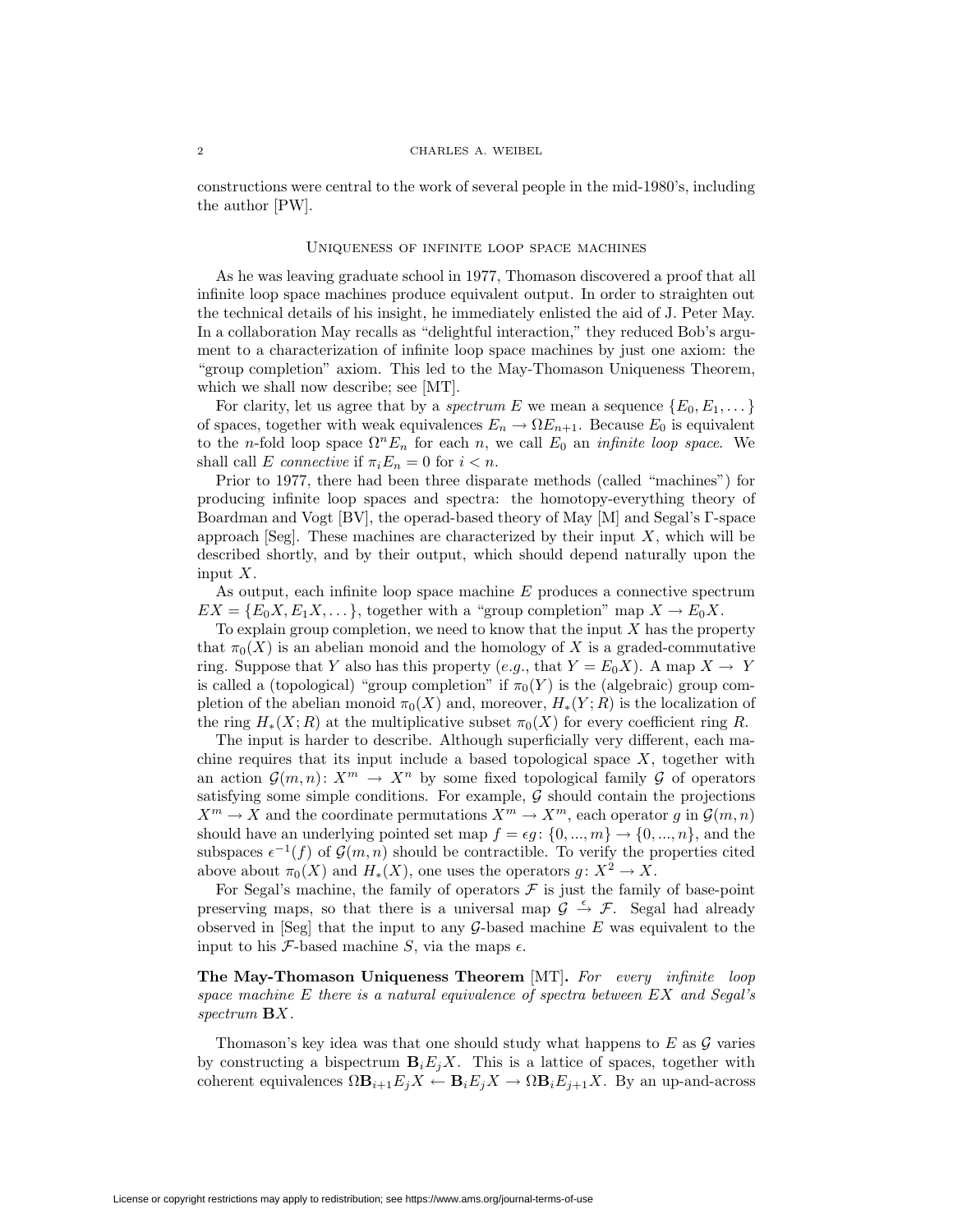#### 2 CHARLES A. WEIBEL

constructions were central to the work of several people in the mid-1980's, including the author [PW].

#### Uniqueness of infinite loop space machines

As he was leaving graduate school in 1977, Thomason discovered a proof that all infinite loop space machines produce equivalent output. In order to straighten out the technical details of his insight, he immediately enlisted the aid of J. Peter May. In a collaboration May recalls as "delightful interaction," they reduced Bob's argument to a characterization of infinite loop space machines by just one axiom: the "group completion" axiom. This led to the May-Thomason Uniqueness Theorem, which we shall now describe; see [MT].

For clarity, let us agree that by a *spectrum* E we mean a sequence  $\{E_0, E_1, \dots\}$ of spaces, together with weak equivalences  $E_n \to \Omega E_{n+1}$ . Because  $E_0$  is equivalent to the n-fold loop space  $\Omega^n E_n$  for each n, we call  $E_0$  an *infinite loop space*. We shall call E connective if  $\pi_i E_n = 0$  for  $i < n$ .

Prior to 1977, there had been three disparate methods (called "machines") for producing infinite loop spaces and spectra: the homotopy-everything theory of Boardman and Vogt [BV], the operad-based theory of May [M] and Segal's Γ-space approach [Seg]. These machines are characterized by their input  $X$ , which will be described shortly, and by their output, which should depend naturally upon the input X.

As output, each infinite loop space machine  $E$  produces a connective spectrum  $EX = \{E_0 X, E_1 X, \dots\}$ , together with a "group completion" map  $X \to E_0 X$ .

To explain group completion, we need to know that the input  $X$  has the property that  $\pi_0(X)$  is an abelian monoid and the homology of X is a graded-commutative ring. Suppose that Y also has this property (e.g., that  $Y = E_0 X$ ). A map  $X \to Y$ is called a (topological) "group completion" if  $\pi_0(Y)$  is the (algebraic) group completion of the abelian monoid  $\pi_0(X)$  and, moreover,  $H_*(Y; R)$  is the localization of the ring  $H_*(X;R)$  at the multiplicative subset  $\pi_0(X)$  for every coefficient ring R.

The input is harder to describe. Although superficially very different, each machine requires that its input include a based topological space  $X$ , together with an action  $\mathcal{G}(m,n): X^m \to X^n$  by some fixed topological family  $\mathcal G$  of operators satisfying some simple conditions. For example,  $G$  should contain the projections  $X^m \to X$  and the coordinate permutations  $X^m \to X^m$ , each operator g in  $\mathcal{G}(m,n)$ should have an underlying pointed set map  $f = \epsilon g$ :  $\{0, ..., m\} \rightarrow \{0, ..., n\}$ , and the subspaces  $\epsilon^{-1}(f)$  of  $\mathcal{G}(m,n)$  should be contractible. To verify the properties cited above about  $\pi_0(X)$  and  $H_*(X)$ , one uses the operators  $g: X^2 \to X$ .

For Segal's machine, the family of operators  $\mathcal F$  is just the family of base-point preserving maps, so that there is a universal map  $\mathcal{G} \stackrel{\epsilon}{\rightarrow} \mathcal{F}$ . Segal had already observed in  $[Seg]$  that the input to any  $G$ -based machine E was equivalent to the input to his F-based machine S, via the maps  $\epsilon$ .

**The May-Thomason Uniqueness Theorem** [MT]**.** For every infinite loop space machine E there is a natural equivalence of spectra between EX and Segal's spectrum **B**X.

Thomason's key idea was that one should study what happens to  $E$  as  $\mathcal G$  varies by constructing a bispectrum  $\mathbf{B}_i E_i X$ . This is a lattice of spaces, together with coherent equivalences  $\Omega \mathbf{B}_{i+1}E_jX \leftarrow \mathbf{B}_iE_jX \rightarrow \Omega \mathbf{B}_iE_{j+1}X$ . By an up-and-across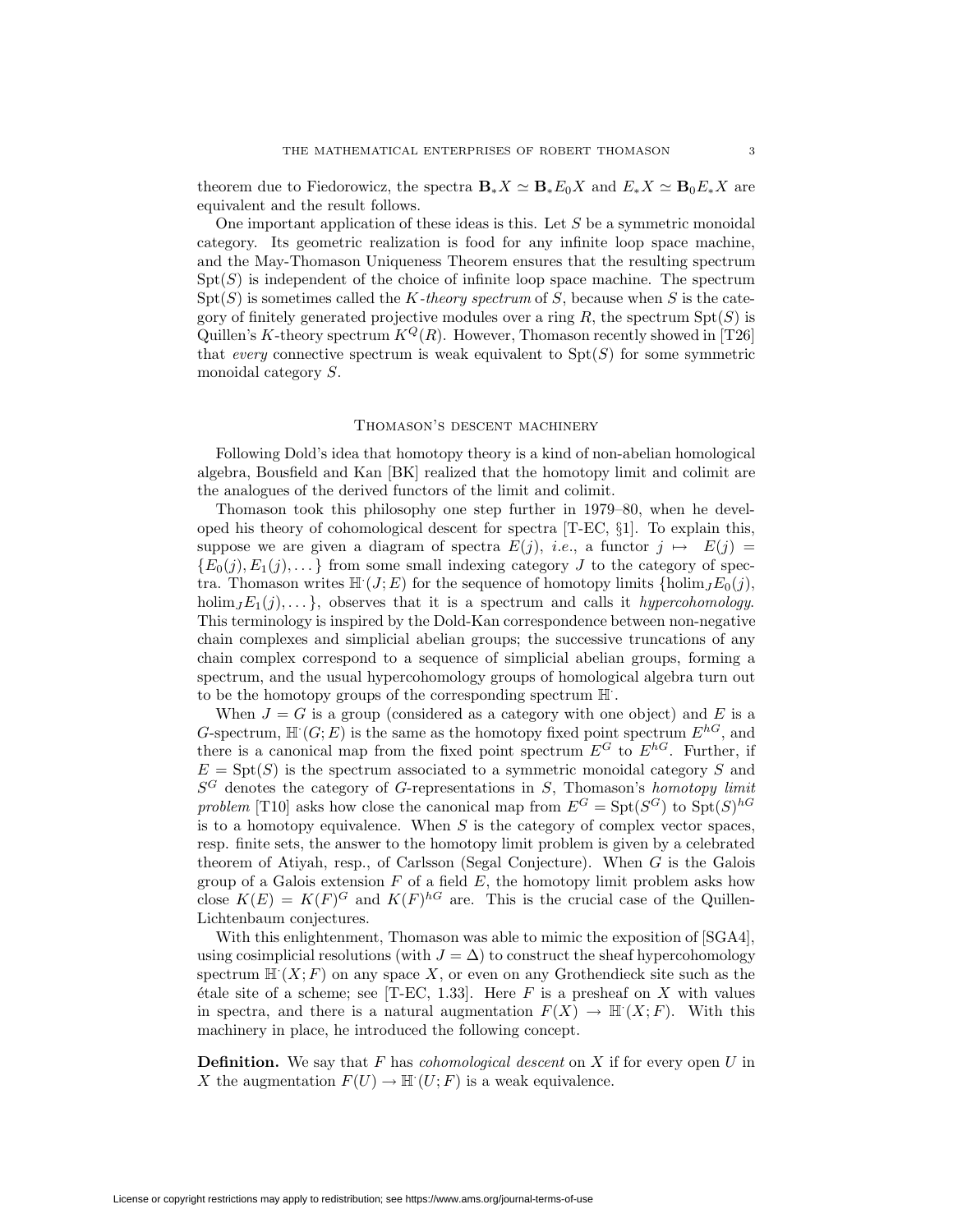theorem due to Fiedorowicz, the spectra  $\mathbf{B}_{*}X \simeq \mathbf{B}_{*}E_{0}X$  and  $E_{*}X \simeq \mathbf{B}_{0}E_{*}X$  are equivalent and the result follows.

One important application of these ideas is this. Let  $S$  be a symmetric monoidal category. Its geometric realization is food for any infinite loop space machine, and the May-Thomason Uniqueness Theorem ensures that the resulting spectrum  $Spt(S)$  is independent of the choice of infinite loop space machine. The spectrum  $Spt(S)$  is sometimes called the K-theory spectrum of S, because when S is the category of finitely generated projective modules over a ring  $R$ , the spectrum  $Spt(S)$  is Quillen's K-theory spectrum  $K^Q(R)$ . However, Thomason recently showed in [T26] that *every* connective spectrum is weak equivalent to  $Spt(S)$  for some symmetric monoidal category S.

### Thomason's descent machinery

Following Dold's idea that homotopy theory is a kind of non-abelian homological algebra, Bousfield and Kan [BK] realized that the homotopy limit and colimit are the analogues of the derived functors of the limit and colimit.

Thomason took this philosophy one step further in 1979–80, when he developed his theory of cohomological descent for spectra [T-EC, §1]. To explain this, suppose we are given a diagram of spectra  $E(j)$ , *i.e.*, a functor  $j \mapsto E(j) =$  ${E_0(j), E_1(j), \ldots}$  from some small indexing category J to the category of spectra. Thomason writes  $\mathbb{H}^1(J;E)$  for the sequence of homotopy limits  $\{\text{holim}_J E_0(j),\}$ holim<sub>J</sub> $E_1(j),...$ , observes that it is a spectrum and calls it hypercohomology. This terminology is inspired by the Dold-Kan correspondence between non-negative chain complexes and simplicial abelian groups; the successive truncations of any chain complex correspond to a sequence of simplicial abelian groups, forming a spectrum, and the usual hypercohomology groups of homological algebra turn out to be the homotopy groups of the corresponding spectrum H· .

When  $J = G$  is a group (considered as a category with one object) and E is a G-spectrum,  $\mathbb{H}^1(G;E)$  is the same as the homotopy fixed point spectrum  $E^{hG}$ , and there is a canonical map from the fixed point spectrum  $E^G$  to  $E^{hG}$ . Further, if  $E = Spt(S)$  is the spectrum associated to a symmetric monoidal category S and  $S^G$  denotes the category of G-representations in S, Thomason's homotopy limit problem [T10] asks how close the canonical map from  $E^G = Spt(S^G)$  to  $Spt(S)^{hG}$ is to a homotopy equivalence. When  $S$  is the category of complex vector spaces, resp. finite sets, the answer to the homotopy limit problem is given by a celebrated theorem of Atiyah, resp., of Carlsson (Segal Conjecture). When G is the Galois group of a Galois extension  $F$  of a field  $E$ , the homotopy limit problem asks how close  $K(E) = K(F)^G$  and  $K(F)^{h}$  are. This is the crucial case of the Quillen-Lichtenbaum conjectures.

With this enlightenment, Thomason was able to mimic the exposition of [SGA4], using cosimplicial resolutions (with  $J = \Delta$ ) to construct the sheaf hypercohomology spectrum  $\mathbb{H}^1(X;F)$  on any space X, or even on any Grothendieck site such as the  $\ell$ tale site of a scheme; see [T-EC, 1.33]. Here F is a presheaf on X with values in spectra, and there is a natural augmentation  $F(X) \to \mathbb{H}^1(X;F)$ . With this machinery in place, he introduced the following concept.

**Definition.** We say that  $F$  has *cohomological descent* on  $X$  if for every open  $U$  in X the augmentation  $F(U) \to \mathbb{H}^1(U;F)$  is a weak equivalence.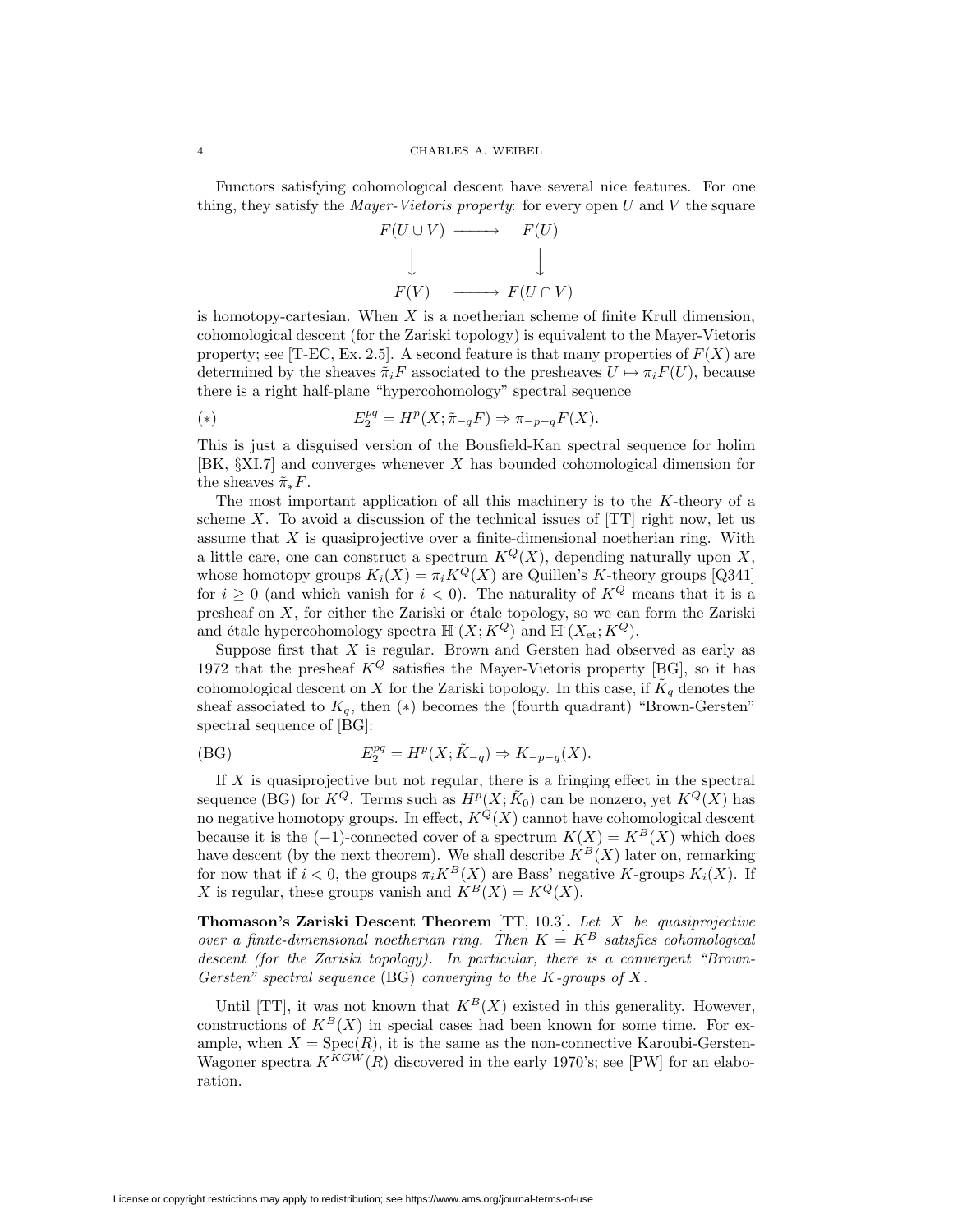Functors satisfying cohomological descent have several nice features. For one thing, they satisfy the *Mayer-Vietoris property:* for every open  $U$  and  $V$  the square



is homotopy-cartesian. When  $X$  is a noetherian scheme of finite Krull dimension, cohomological descent (for the Zariski topology) is equivalent to the Mayer-Vietoris property; see [T-EC, Ex. 2.5]. A second feature is that many properties of  $F(X)$  are determined by the sheaves  $\tilde{\pi}_iF$  associated to the presheaves  $U \mapsto \pi_iF(U)$ , because there is a right half-plane "hypercohomology" spectral sequence

$$
E_2^{pq} = H^p(X; \tilde{\pi}_{-q}F) \Rightarrow \pi_{-p-q}F(X).
$$

This is just a disguised version of the Bousfield-Kan spectral sequence for holim [BK, §XI.7] and converges whenever X has bounded cohomological dimension for the sheaves  $\tilde{\pi}_*F$ .

The most important application of all this machinery is to the  $K$ -theory of a scheme  $X$ . To avoid a discussion of the technical issues of  $[TT]$  right now, let us assume that  $X$  is quasiprojective over a finite-dimensional noetherian ring. With a little care, one can construct a spectrum  $K^Q(X)$ , depending naturally upon X, whose homotopy groups  $K_i(X) = \pi_i K^Q(X)$  are Quillen's K-theory groups [Q341] for  $i \geq 0$  (and which vanish for  $i < 0$ ). The naturality of  $K^Q$  means that it is a presheaf on  $X$ , for either the Zariski or étale topology, so we can form the Zariski and étale hypercohomology spectra  $\mathbb{H}^1(X; K^Q)$  and  $\mathbb{H}^1(X_{\text{\rm et}}; K^Q)$ .

Suppose first that  $X$  is regular. Brown and Gersten had observed as early as 1972 that the presheaf  $K^Q$  satisfies the Mayer-Vietoris property [BG], so it has cohomological descent on X for the Zariski topology. In this case, if  $\tilde{K}_q$  denotes the sheaf associated to  $K_q$ , then  $(*)$  becomes the (fourth quadrant) "Brown-Gersten" spectral sequence of [BG]:

(BG) 
$$
E_2^{pq} = H^p(X; \tilde{K}_{-q}) \Rightarrow K_{-p-q}(X).
$$

If  $X$  is quasiprojective but not regular, there is a fringing effect in the spectral sequence (BG) for  $K^Q$ . Terms such as  $H^p(X; \tilde{K}_0)$  can be nonzero, yet  $K^Q(X)$  has no negative homotopy groups. In effect,  $K^{\mathcal{Q}}(X)$  cannot have cohomological descent because it is the  $(-1)$ -connected cover of a spectrum  $K(X) = K^B(X)$  which does have descent (by the next theorem). We shall describe  $K^B(X)$  later on, remarking for now that if  $i < 0$ , the groups  $\pi_i K^B(X)$  are Bass' negative K-groups  $K_i(X)$ . If X is regular, these groups vanish and  $K^B(X) = K^Q(X)$ .

**Thomason's Zariski Descent Theorem** [TT, 10.3]**.** Let X be quasiprojective over a finite-dimensional noetherian ring. Then  $K = K^B$  satisfies cohomological descent (for the Zariski topology). In particular, there is a convergent "Brown-Gersten" spectral sequence  $(BG)$  converging to the K-groups of X.

Until [TT], it was not known that  $K^B(X)$  existed in this generality. However, constructions of  $K^B(X)$  in special cases had been known for some time. For example, when  $X = \text{Spec}(R)$ , it is the same as the non-connective Karoubi-Gersten-Wagoner spectra  $K^{KGW}(R)$  discovered in the early 1970's; see [PW] for an elaboration.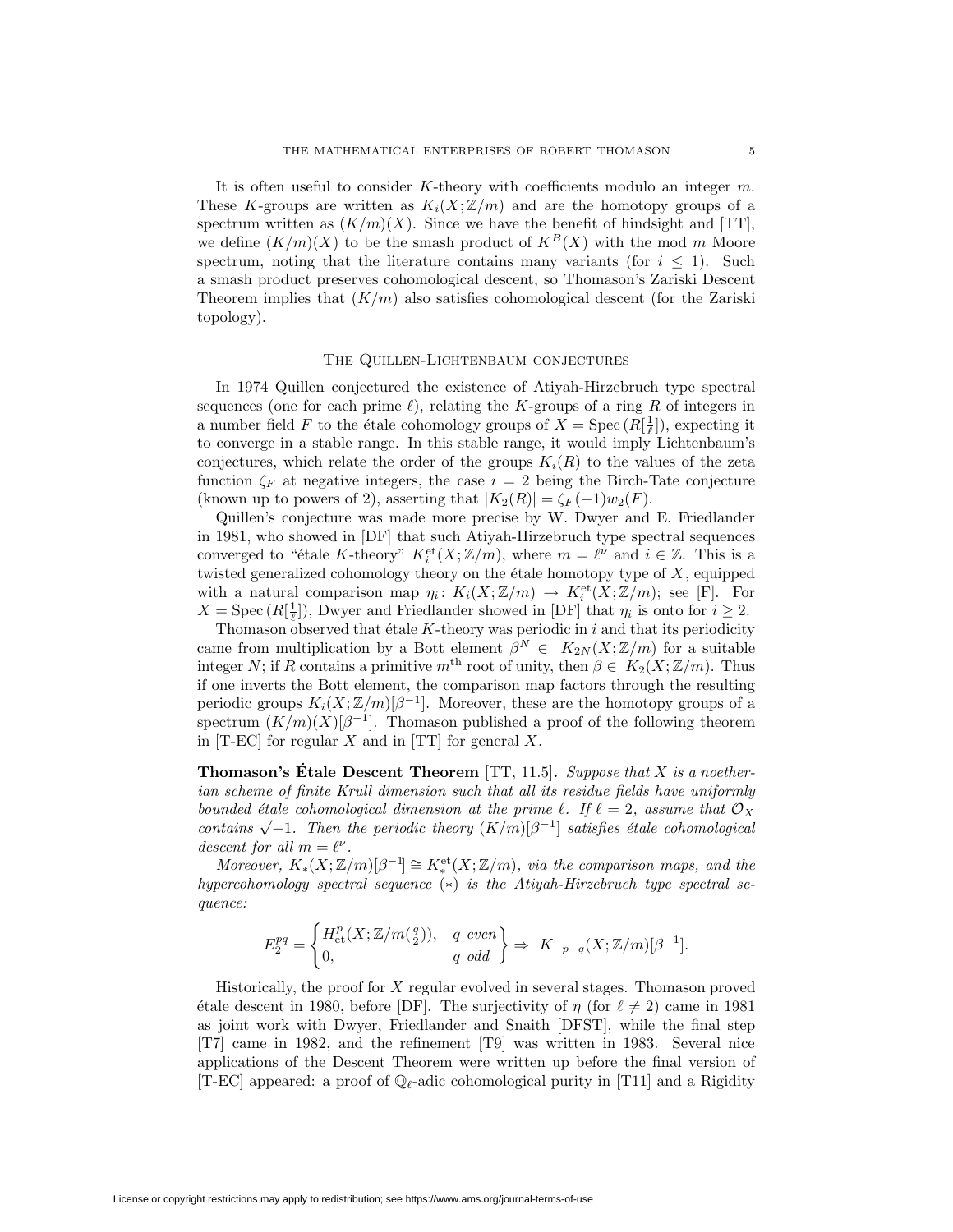It is often useful to consider  $K$ -theory with coefficients modulo an integer  $m$ . These K-groups are written as  $K_i(X;\mathbb{Z}/m)$  and are the homotopy groups of a spectrum written as  $(K/m)(X)$ . Since we have the benefit of hindsight and [TT], we define  $(K/m)(X)$  to be the smash product of  $K^B(X)$  with the mod m Moore spectrum, noting that the literature contains many variants (for  $i \leq 1$ ). Such a smash product preserves cohomological descent, so Thomason's Zariski Descent Theorem implies that  $(K/m)$  also satisfies cohomological descent (for the Zariski topology).

#### The Quillen-Lichtenbaum conjectures

In 1974 Quillen conjectured the existence of Atiyah-Hirzebruch type spectral sequences (one for each prime  $\ell$ ), relating the K-groups of a ring R of integers in a number field F to the étale cohomology groups of  $X = \text{Spec} (R[\frac{1}{\ell}])$ , expecting it to converge in a stable range. In this stable range, it would imply Lichtenbaum's conjectures, which relate the order of the groups  $K_i(R)$  to the values of the zeta function  $\zeta_F$  at negative integers, the case  $i = 2$  being the Birch-Tate conjecture (known up to powers of 2), asserting that  $|K_2(R)| = \zeta_F(-1)w_2(F)$ .

Quillen's conjecture was made more precise by W. Dwyer and E. Friedlander in 1981, who showed in [DF] that such Atiyah-Hirzebruch type spectral sequences converged to "étale K-theory"  $K_i^{\text{et}}(X; \mathbb{Z}/m)$ , where  $m = \ell^{\nu}$  and  $i \in \mathbb{Z}$ . This is a twisted generalized cohomology theory on the étale homotopy type of  $X$ , equipped with a natural comparison map  $\eta_i: K_i(X; \mathbb{Z}/m) \to K_i^{\text{et}}(X; \mathbb{Z}/m)$ ; see [F]. For  $X = \text{Spec} (R[\frac{1}{\ell}])$ , Dwyer and Friedlander showed in [DF] that  $\eta_i$  is onto for  $i \geq 2$ .

Thomason observed that étale  $K$ -theory was periodic in i and that its periodicity came from multiplication by a Bott element  $\beta^N \in K_{2N}(X;\mathbb{Z}/m)$  for a suitable integer N; if R contains a primitive  $m^{\text{th}}$  root of unity, then  $\beta \in K_2(X; \mathbb{Z}/m)$ . Thus if one inverts the Bott element, the comparison map factors through the resulting periodic groups  $K_i(X; \mathbb{Z}/m)[\beta^{-1}]$ . Moreover, these are the homotopy groups of a spectrum  $(K/m)(X)[\beta^{-1}]$ . Thomason published a proof of the following theorem in  $[T-EC]$  for regular X and in  $[TT]$  for general X.

**Thomason's Étale Descent Theorem [TT, 11.5].** Suppose that X is a noetherian scheme of finite Krull dimension such that all its residue fields have uniformly bounded étale cohomological dimension at the prime  $\ell$ . If  $\ell = 2$ , assume that  $\mathcal{O}_X$ contains  $\sqrt{-1}$ . Then the periodic theory  $(K/m)[\beta^{-1}]$  satisfies étale cohomological descent for all  $m = \ell^{\nu}$ .

Moreover,  $K_*(X; \mathbb{Z}/m)[\beta^{-1}] \cong K^{\text{et}}_*(X; \mathbb{Z}/m)$ , via the comparison maps, and the hypercohomology spectral sequence (∗) is the Atiyah-Hirzebruch type spectral sequence:

$$
E_2^{pq} = \begin{cases} H_{\text{et}}^p(X; \mathbb{Z}/m(\frac{q}{2})), & q \text{ even} \\ 0, & q \text{ odd} \end{cases} \Rightarrow K_{-p-q}(X; \mathbb{Z}/m)[\beta^{-1}].
$$

Historically, the proof for X regular evolved in several stages. Thomason proved étale descent in 1980, before [DF]. The surjectivity of  $\eta$  (for  $\ell \neq 2$ ) came in 1981 as joint work with Dwyer, Friedlander and Snaith [DFST], while the final step [T7] came in 1982, and the refinement [T9] was written in 1983. Several nice applications of the Descent Theorem were written up before the final version of [T-EC] appeared: a proof of  $\mathbb{Q}_{\ell}$ -adic cohomological purity in [T11] and a Rigidity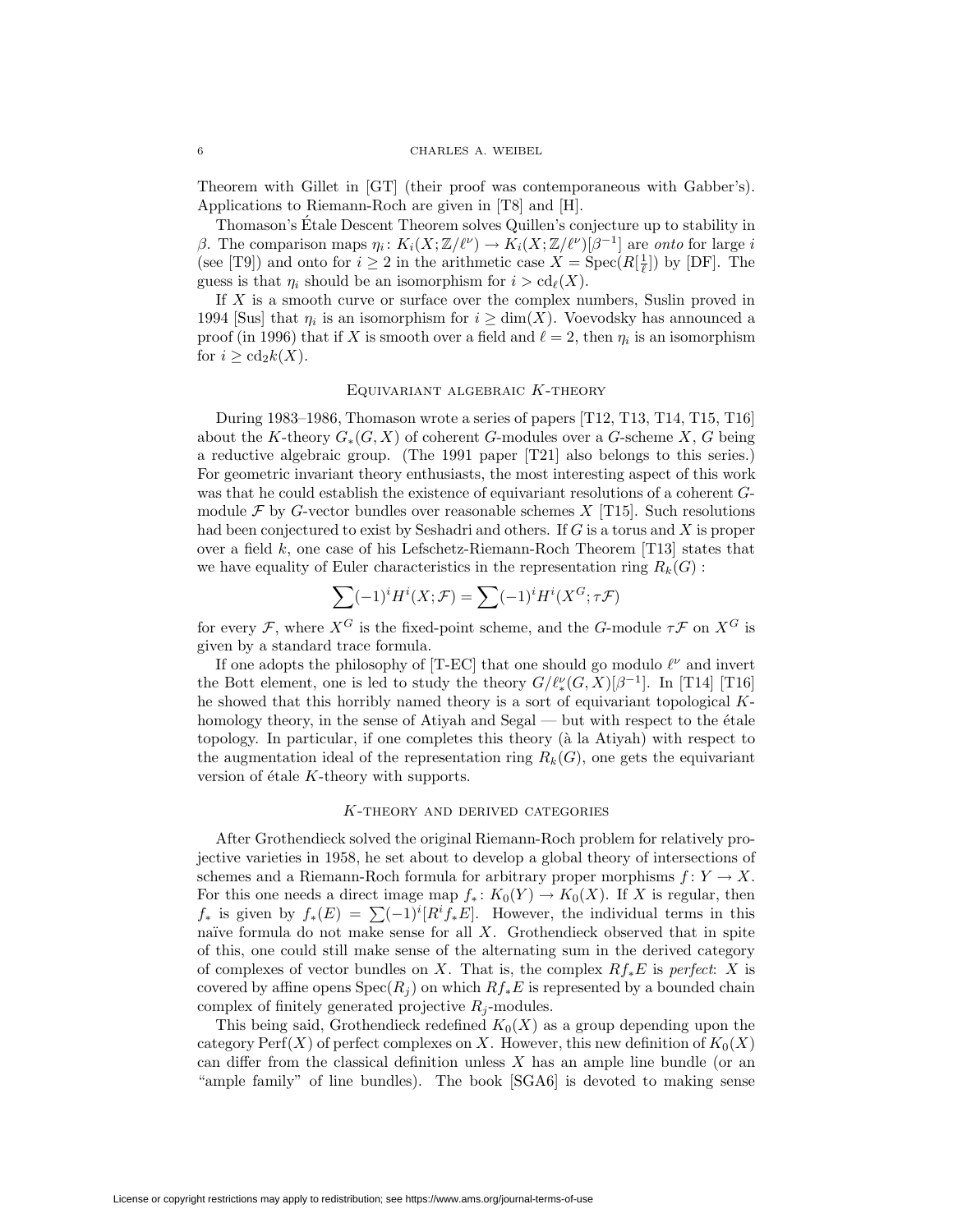Theorem with Gillet in [GT] (their proof was contemporaneous with Gabber's). Applications to Riemann-Roch are given in [T8] and [H].

Thomason's Etale Descent Theorem solves Quillen's conjecture up to stability in ´ β. The comparison maps  $η_i: K_i(X; \mathbb{Z}/\ell^{\nu}) \to K_i(X; \mathbb{Z}/\ell^{\nu})[\beta^{-1}]$  are onto for large i (see [T9]) and onto for  $i \geq 2$  in the arithmetic case  $X = \text{Spec}(R[\frac{1}{\ell}])$  by [DF]. The guess is that  $\eta_i$  should be an isomorphism for  $i > \text{cd}_{\ell}(X)$ .

If  $X$  is a smooth curve or surface over the complex numbers, Suslin proved in 1994 [Sus] that  $\eta_i$  is an isomorphism for  $i \geq \dim(X)$ . Voevodsky has announced a proof (in 1996) that if X is smooth over a field and  $\ell = 2$ , then  $\eta_i$  is an isomorphism for  $i \geq \text{cd}_2 k(X)$ .

# Equivariant algebraic K-theory

During 1983–1986, Thomason wrote a series of papers [T12, T13, T14, T15, T16] about the K-theory  $G_*(G, X)$  of coherent G-modules over a G-scheme X, G being a reductive algebraic group. (The 1991 paper [T21] also belongs to this series.) For geometric invariant theory enthusiasts, the most interesting aspect of this work was that he could establish the existence of equivariant resolutions of a coherent Gmodule  $\mathcal F$  by G-vector bundles over reasonable schemes X [T15]. Such resolutions had been conjectured to exist by Seshadri and others. If G is a torus and X is proper over a field  $k$ , one case of his Lefschetz-Riemann-Roch Theorem [T13] states that we have equality of Euler characteristics in the representation ring  $R_k(G)$ :

$$
\sum (-1)^{i} H^{i}(X; \mathcal{F}) = \sum (-1)^{i} H^{i}(X^{G}; \tau \mathcal{F})
$$

for every F, where  $X^G$  is the fixed-point scheme, and the G-module  $\tau \mathcal{F}$  on  $X^G$  is given by a standard trace formula.

If one adopts the philosophy of [T-EC] that one should go modulo  $\ell^{\nu}$  and invert the Bott element, one is led to study the theory  $G/\ell_{*}^{\nu}(G,X)[\beta^{-1}]$ . In [T14] [T16] he showed that this horribly named theory is a sort of equivariant topological Khomology theory, in the sense of Atiyah and Segal — but with respect to the  $\epsilon$ tale topology. In particular, if one completes this theory (à la Atiyah) with respect to the augmentation ideal of the representation ring  $R_k(G)$ , one gets the equivariant version of étale  $K$ -theory with supports.

# K-theory and derived categories

After Grothendieck solved the original Riemann-Roch problem for relatively projective varieties in 1958, he set about to develop a global theory of intersections of schemes and a Riemann-Roch formula for arbitrary proper morphisms  $f: Y \to X$ . For this one needs a direct image map  $f_* \colon K_0(Y) \to K_0(X)$ . If X is regular, then  $f_*$  is given by  $f_*(E) = \sum (-1)^i [R^i f_* E]$ . However, the individual terms in this naïve formula do not make sense for all  $X$ . Grothendieck observed that in spite of this, one could still make sense of the alternating sum in the derived category of complexes of vector bundles on X. That is, the complex  $Rf_*E$  is perfect: X is covered by affine opens  $Spec(R_i)$  on which  $Rf_*E$  is represented by a bounded chain complex of finitely generated projective  $R_j$ -modules.

This being said, Grothendieck redefined  $K_0(X)$  as a group depending upon the category Perf(X) of perfect complexes on X. However, this new definition of  $K_0(X)$ can differ from the classical definition unless X has an ample line bundle (or an "ample family" of line bundles). The book [SGA6] is devoted to making sense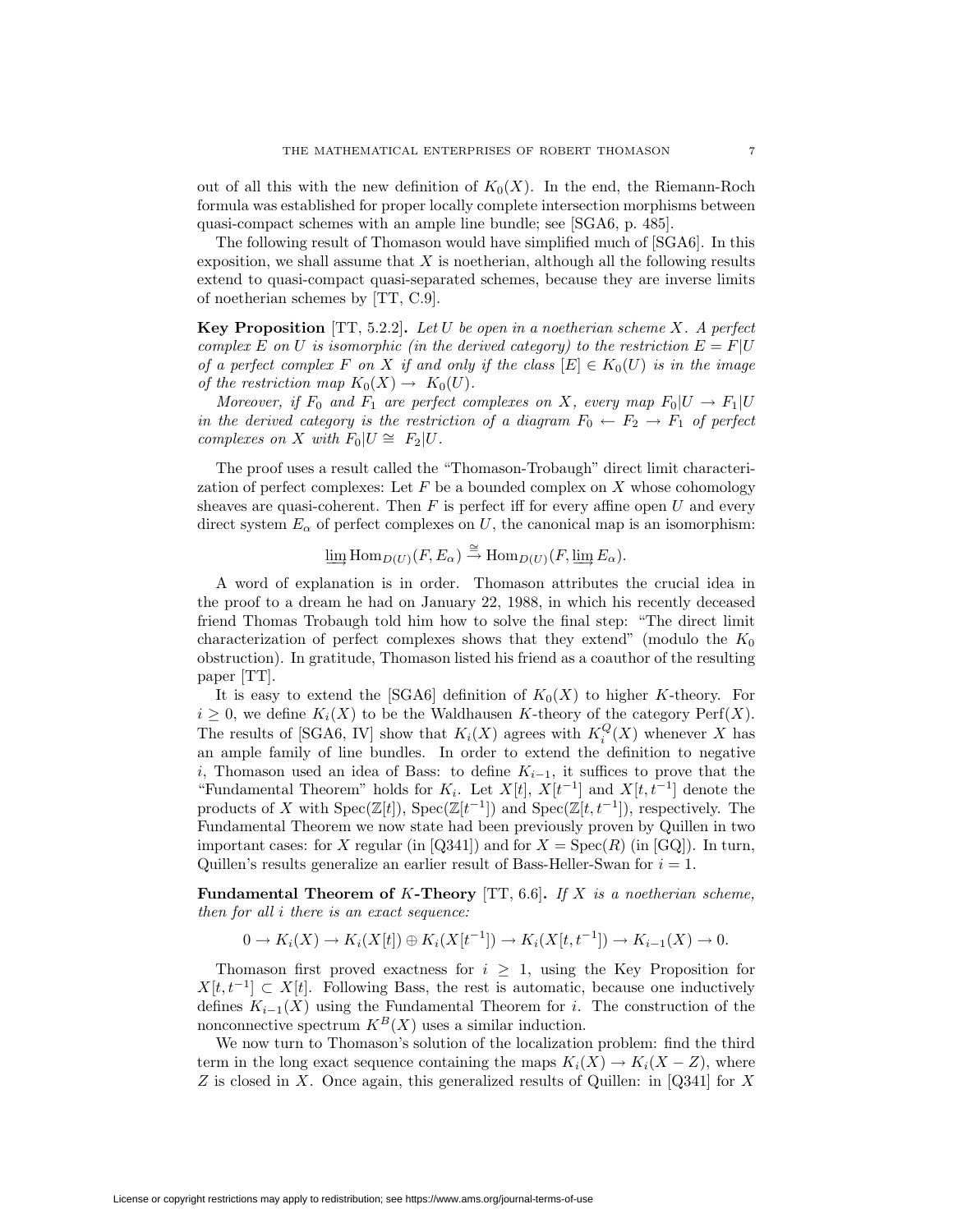out of all this with the new definition of  $K_0(X)$ . In the end, the Riemann-Roch formula was established for proper locally complete intersection morphisms between quasi-compact schemes with an ample line bundle; see [SGA6, p. 485].

The following result of Thomason would have simplified much of [SGA6]. In this exposition, we shall assume that  $X$  is noetherian, although all the following results extend to quasi-compact quasi-separated schemes, because they are inverse limits of noetherian schemes by [TT, C.9].

**Key Proposition** [TT, 5.2.2]**.** Let U be open in a noetherian scheme X. A perfect complex E on U is isomorphic (in the derived category) to the restriction  $E = F|U$ of a perfect complex F on X if and only if the class  $[E] \in K_0(U)$  is in the image of the restriction map  $K_0(X) \to K_0(U)$ .

Moreover, if  $F_0$  and  $F_1$  are perfect complexes on X, every map  $F_0|U \to F_1|U$ in the derived category is the restriction of a diagram  $F_0 \leftarrow F_2 \rightarrow F_1$  of perfect complexes on X with  $F_0|U \cong F_2|U$ .

The proof uses a result called the "Thomason-Trobaugh" direct limit characterization of perfect complexes: Let  $F$  be a bounded complex on  $X$  whose cohomology sheaves are quasi-coherent. Then  $F$  is perfect iff for every affine open  $U$  and every direct system  $E_{\alpha}$  of perfect complexes on U, the canonical map is an isomorphism:

$$
\varinjlim \mathrm{Hom}_{D(U)}(F, E_{\alpha}) \stackrel{\cong}{\to} \mathrm{Hom}_{D(U)}(F, \varinjlim E_{\alpha}).
$$

A word of explanation is in order. Thomason attributes the crucial idea in the proof to a dream he had on January 22, 1988, in which his recently deceased friend Thomas Trobaugh told him how to solve the final step: "The direct limit characterization of perfect complexes shows that they extend" (modulo the  $K_0$ ) obstruction). In gratitude, Thomason listed his friend as a coauthor of the resulting paper [TT].

It is easy to extend the [SGA6] definition of  $K_0(X)$  to higher K-theory. For  $i \geq 0$ , we define  $K_i(X)$  to be the Waldhausen K-theory of the category  $\text{Perf}(X)$ . The results of [SGA6, IV] show that  $K_i(X)$  agrees with  $K_i^Q(X)$  whenever X has an ample family of line bundles. In order to extend the definition to negative i, Thomason used an idea of Bass: to define  $K_{i-1}$ , it suffices to prove that the "Fundamental Theorem" holds for  $K_i$ . Let  $X[t]$ ,  $X[t^{-1}]$  and  $X[t, t^{-1}]$  denote the products of X with  $Spec(\mathbb{Z}[t])$ ,  $Spec(\mathbb{Z}[t^{-1}])$  and  $Spec(\mathbb{Z}[t, t^{-1}])$ , respectively. The Fundamental Theorem we now state had been previously proven by Quillen in two important cases: for X regular (in [Q341]) and for  $X = \text{Spec}(R)$  (in [GQ]). In turn, Quillen's results generalize an earlier result of Bass-Heller-Swan for  $i = 1$ .

**Fundamental Theorem of** K**-Theory** [TT, 6.6]**.** If X is a noetherian scheme, then for all i there is an exact sequence:

$$
0 \to K_i(X) \to K_i(X[t]) \oplus K_i(X[t^{-1}]) \to K_i(X[t, t^{-1}]) \to K_{i-1}(X) \to 0.
$$

Thomason first proved exactness for  $i \geq 1$ , using the Key Proposition for  $X[t, t^{-1}] \subset X[t]$ . Following Bass, the rest is automatic, because one inductively defines  $K_{i-1}(X)$  using the Fundamental Theorem for i. The construction of the nonconnective spectrum  $K^B(X)$  uses a similar induction.

We now turn to Thomason's solution of the localization problem: find the third term in the long exact sequence containing the maps  $K_i(X) \to K_i(X - Z)$ , where Z is closed in X. Once again, this generalized results of Quillen: in  $[Q341]$  for X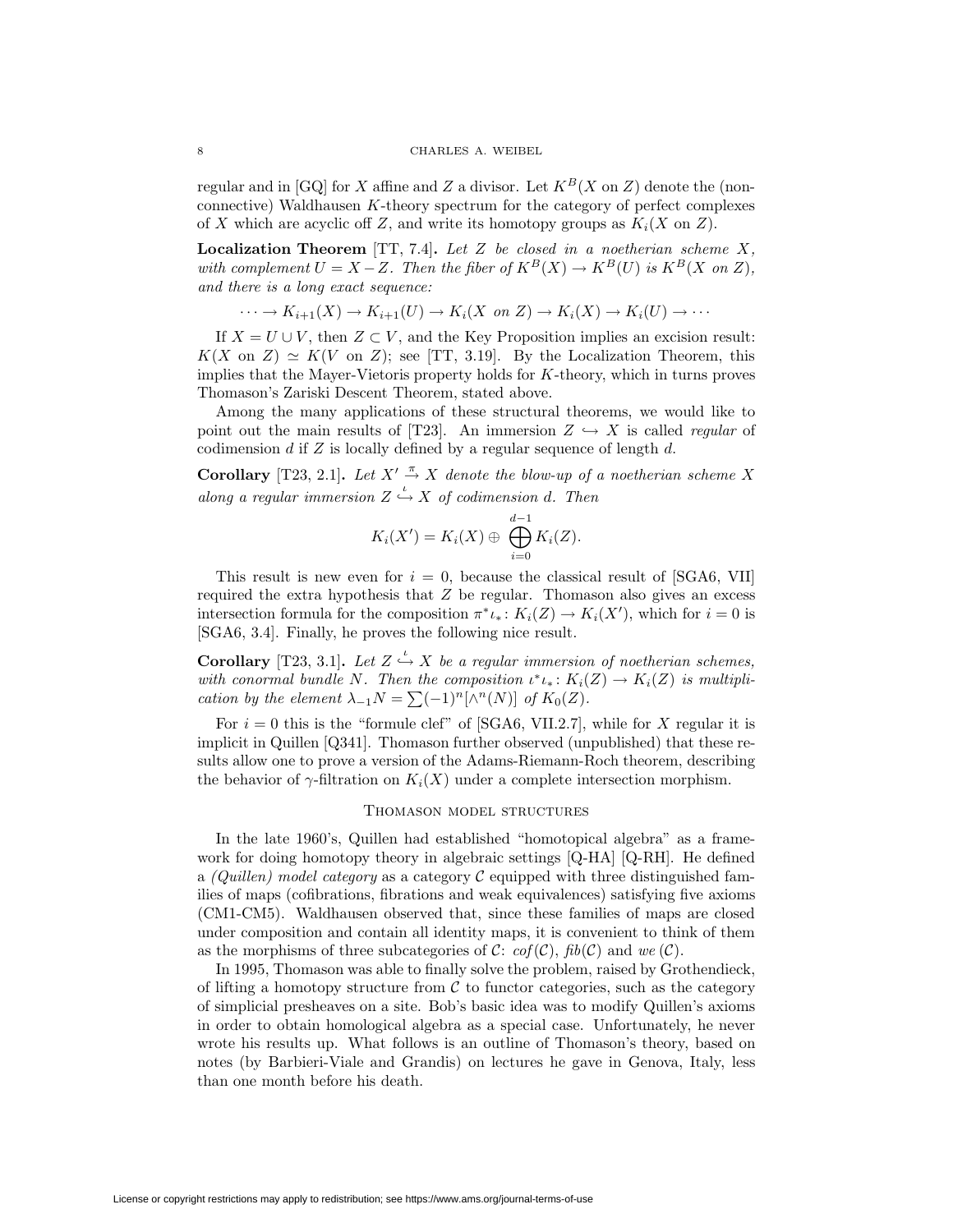regular and in [GQ] for X affine and Z a divisor. Let  $K^B(X)$  on Z) denote the (nonconnective) Waldhausen K-theory spectrum for the category of perfect complexes of X which are acyclic off Z, and write its homotopy groups as  $K_i(X \text{ on } Z)$ .

**Localization Theorem** [TT, 7.4]**.** Let Z be closed in a noetherian scheme X, with complement  $U = X - Z$ . Then the fiber of  $K^B(X) \to K^B(U)$  is  $K^B(X \text{ on } Z)$ , and there is a long exact sequence:

$$
\cdots \to K_{i+1}(X) \to K_{i+1}(U) \to K_i(X \text{ on } Z) \to K_i(X) \to K_i(U) \to \cdots
$$

If  $X = U \cup V$ , then  $Z \subset V$ , and the Key Proposition implies an excision result:  $K(X \text{ on } Z) \simeq K(V \text{ on } Z);$  see [TT, 3.19]. By the Localization Theorem, this implies that the Mayer-Vietoris property holds for  $K$ -theory, which in turns proves Thomason's Zariski Descent Theorem, stated above.

Among the many applications of these structural theorems, we would like to point out the main results of [T23]. An immersion  $Z \hookrightarrow X$  is called *regular* of codimension  $d$  if  $Z$  is locally defined by a regular sequence of length  $d$ .

**Corollary** [T23, 2.1]. Let  $X' \stackrel{\pi}{\rightarrow} X$  denote the blow-up of a noetherian scheme X along a regular immersion  $Z \stackrel{\iota}{\hookrightarrow} X$  of codimension d. Then

$$
K_i(X') = K_i(X) \oplus \bigoplus_{i=0}^{d-1} K_i(Z).
$$

This result is new even for  $i = 0$ , because the classical result of [SGA6, VII] required the extra hypothesis that  $Z$  be regular. Thomason also gives an excess intersection formula for the composition  $\pi^* \iota_* \colon K_i(Z) \to K_i(X')$ , which for  $i = 0$  is [SGA6, 3.4]. Finally, he proves the following nice result.

**Corollary** [T23, 3.1]. Let  $Z \xrightarrow{\iota} X$  be a regular immersion of noetherian schemes, with conormal bundle N. Then the composition  $\iota^* \iota_* : K_i(Z) \to K_i(Z)$  is multiplication by the element  $\lambda_{-1}N = \sum_{n=1}^{\infty}(-1)^n[\wedge^n(N)]$  of  $K_0(Z)$ .

For  $i = 0$  this is the "formule clef" of [SGA6, VII.2.7], while for X regular it is implicit in Quillen [Q341]. Thomason further observed (unpublished) that these results allow one to prove a version of the Adams-Riemann-Roch theorem, describing the behavior of  $\gamma$ -filtration on  $K_i(X)$  under a complete intersection morphism.

### Thomason model structures

In the late 1960's, Quillen had established "homotopical algebra" as a framework for doing homotopy theory in algebraic settings [Q-HA] [Q-RH]. He defined a (Quillen) model category as a category  $\mathcal C$  equipped with three distinguished families of maps (cofibrations, fibrations and weak equivalences) satisfying five axioms (CM1-CM5). Waldhausen observed that, since these families of maps are closed under composition and contain all identity maps, it is convenient to think of them as the morphisms of three subcategories of C:  $cof(\mathcal{C})$ ,  $fib(\mathcal{C})$  and we  $(\mathcal{C})$ .

In 1995, Thomason was able to finally solve the problem, raised by Grothendieck, of lifting a homotopy structure from  $\mathcal C$  to functor categories, such as the category of simplicial presheaves on a site. Bob's basic idea was to modify Quillen's axioms in order to obtain homological algebra as a special case. Unfortunately, he never wrote his results up. What follows is an outline of Thomason's theory, based on notes (by Barbieri-Viale and Grandis) on lectures he gave in Genova, Italy, less than one month before his death.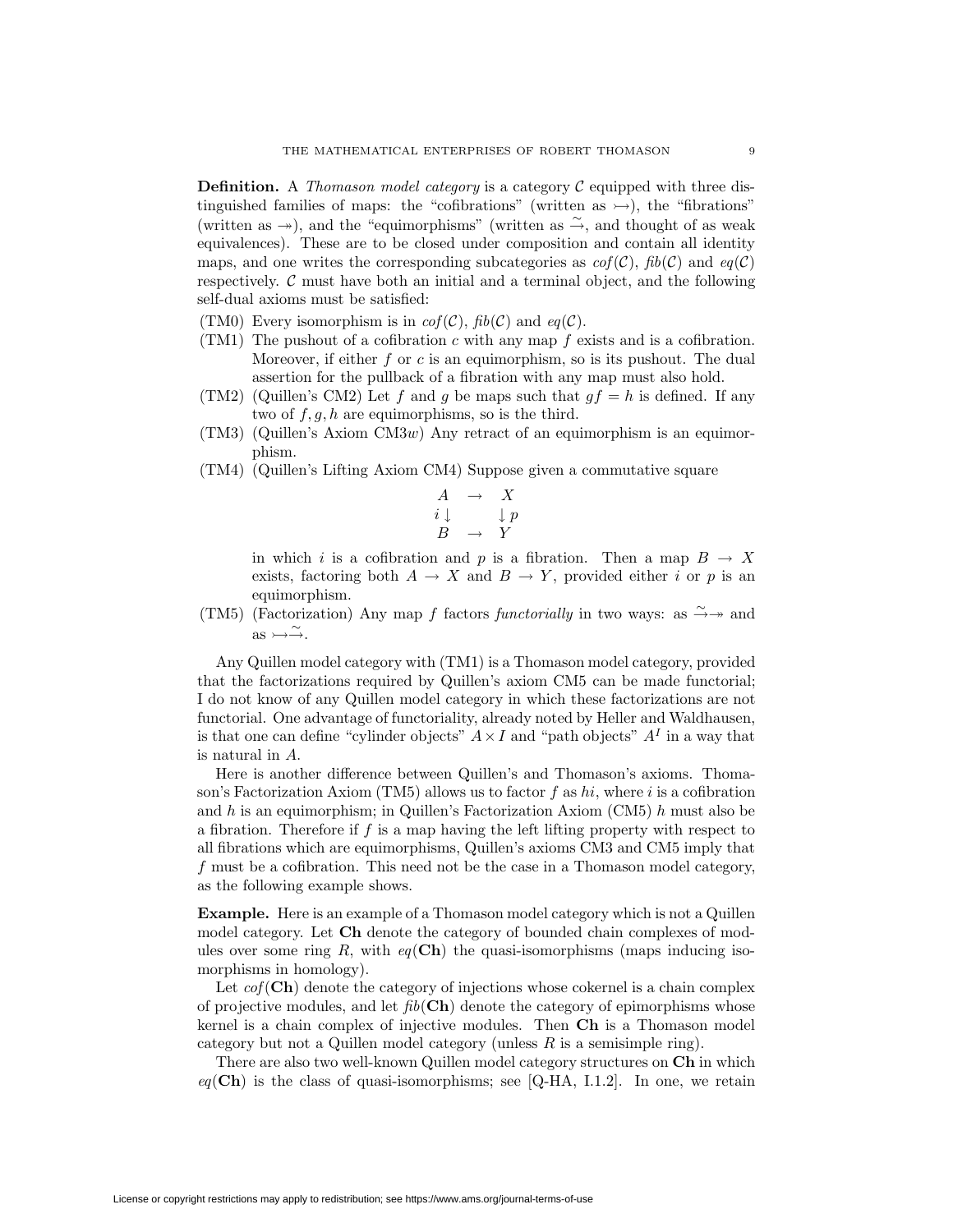**Definition.** A Thomason model category is a category  $C$  equipped with three distinguished families of maps: the "cofibrations" (written as  $\rightarrow$ ), the "fibrations" (written as  $\rightarrow$ ), and the "equimorphisms" (written as  $\stackrel{\sim}{\rightarrow}$ , and thought of as weak equivalences). These are to be closed under composition and contain all identity maps, and one writes the corresponding subcategories as  $cof(\mathcal{C})$ ,  $fib(\mathcal{C})$  and  $eq(\mathcal{C})$ respectively.  $C$  must have both an initial and a terminal object, and the following self-dual axioms must be satisfied:

- (TM0) Every isomorphism is in  $cof(\mathcal{C})$ ,  $fib(\mathcal{C})$  and  $eq(\mathcal{C})$ .
- (TM1) The pushout of a cofibration c with any map  $f$  exists and is a cofibration. Moreover, if either  $f$  or  $c$  is an equimorphism, so is its pushout. The dual assertion for the pullback of a fibration with any map must also hold.
- (TM2) (Quillen's CM2) Let f and g be maps such that  $gf = h$  is defined. If any two of  $f, g, h$  are equimorphisms, so is the third.
- $(TM3)$  (Quillen's Axiom  $CM3w$ ) Any retract of an equimorphism is an equimorphism.
- (TM4) (Quillen's Lifting Axiom CM4) Suppose given a commutative square

$$
\begin{array}{ccc} A & \to & X \\ i \downarrow & & \downarrow p \\ B & \to & Y \end{array}
$$

in which i is a cofibration and p is a fibration. Then a map  $B \to X$ exists, factoring both  $A \to X$  and  $B \to Y$ , provided either i or p is an equimorphism.

(TM5) (Factorization) Any map f factors functorially in two ways: as  $\stackrel{\sim}{\rightarrow} \rightarrow$  and  $\text{as} \rightarrow \stackrel{\sim}{\rightarrow}$ .

Any Quillen model category with (TM1) is a Thomason model category, provided that the factorizations required by Quillen's axiom CM5 can be made functorial; I do not know of any Quillen model category in which these factorizations are not functorial. One advantage of functoriality, already noted by Heller and Waldhausen, is that one can define "cylinder objects"  $A \times I$  and "path objects"  $A<sup>I</sup>$  in a way that is natural in A.

Here is another difference between Quillen's and Thomason's axioms. Thomason's Factorization Axiom (TM5) allows us to factor f as hi, where i is a cofibration and h is an equimorphism; in Quillen's Factorization Axiom (CM5) h must also be a fibration. Therefore if  $f$  is a map having the left lifting property with respect to all fibrations which are equimorphisms, Quillen's axioms CM3 and CM5 imply that f must be a cofibration. This need not be the case in a Thomason model category, as the following example shows.

**Example.** Here is an example of a Thomason model category which is not a Quillen model category. Let **Ch** denote the category of bounded chain complexes of modules over some ring  $R$ , with  $eq(\mathbf{Ch})$  the quasi-isomorphisms (maps inducing isomorphisms in homology).

Let  $cof(\mathbf{Ch})$  denote the category of injections whose cokernel is a chain complex of projective modules, and let  $fib(\mathbf{Ch})$  denote the category of epimorphisms whose kernel is a chain complex of injective modules. Then **Ch** is a Thomason model category but not a Quillen model category (unless  $R$  is a semisimple ring).

There are also two well-known Quillen model category structures on **Ch** in which  $eq(\mathbf{Ch})$  is the class of quasi-isomorphisms; see [Q-HA, I.1.2]. In one, we retain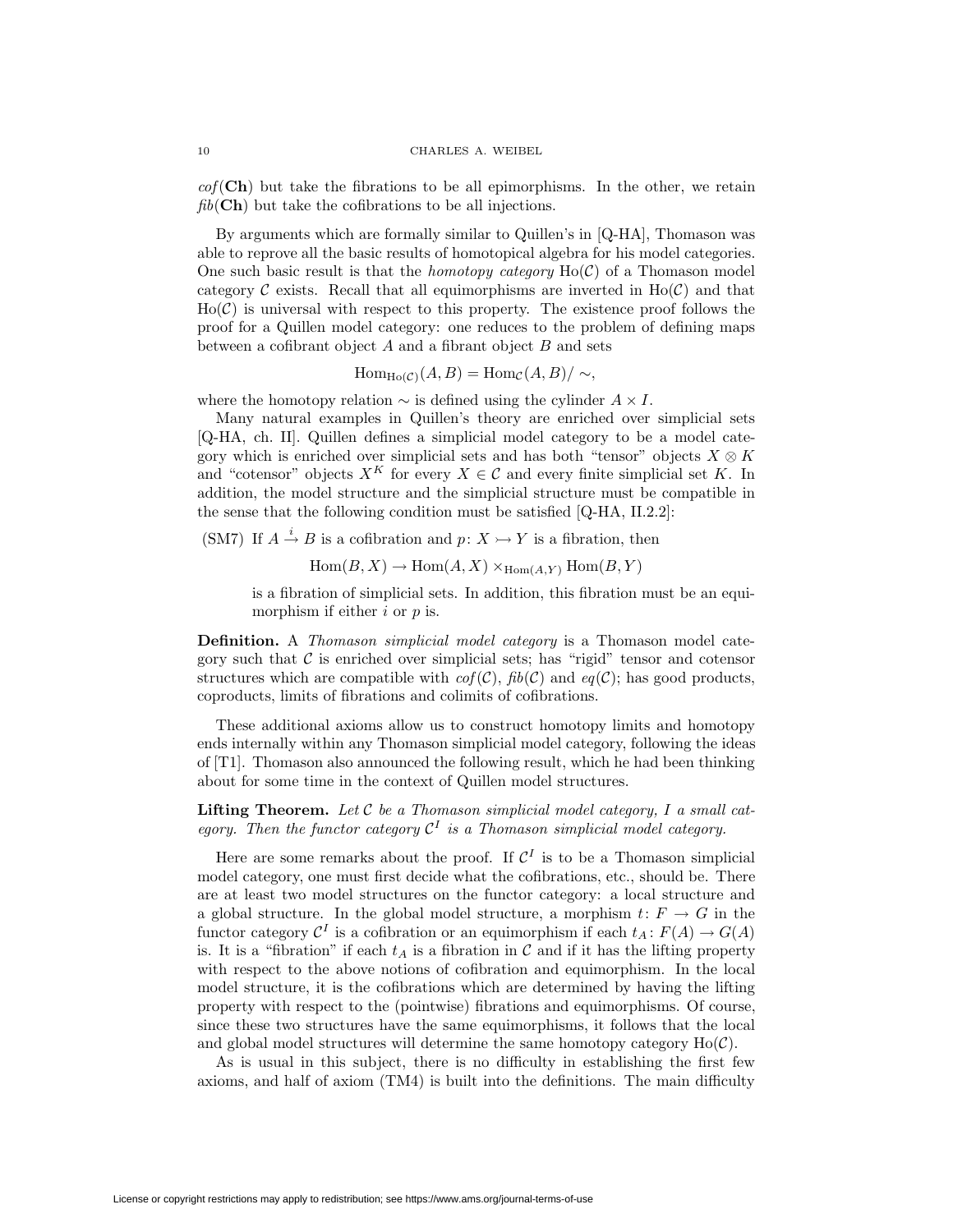$cof(\mathbf{Ch})$  but take the fibrations to be all epimorphisms. In the other, we retain fib(**Ch**) but take the cofibrations to be all injections.

By arguments which are formally similar to Quillen's in [Q-HA], Thomason was able to reprove all the basic results of homotopical algebra for his model categories. One such basic result is that the *homotopy category*  $Ho(\mathcal{C})$  of a Thomason model category  $\mathcal C$  exists. Recall that all equimorphisms are inverted in  $Ho(\mathcal C)$  and that  $Ho(\mathcal{C})$  is universal with respect to this property. The existence proof follows the proof for a Quillen model category: one reduces to the problem of defining maps between a cofibrant object  $A$  and a fibrant object  $B$  and sets

$$
\operatorname{Hom}_{\operatorname{Ho}(\mathcal{C})}(A, B) = \operatorname{Hom}_{\mathcal{C}}(A, B) / \sim,
$$

where the homotopy relation  $\sim$  is defined using the cylinder  $A \times I$ .

Many natural examples in Quillen's theory are enriched over simplicial sets [Q-HA, ch. II]. Quillen defines a simplicial model category to be a model category which is enriched over simplicial sets and has both "tensor" objects  $X \otimes K$ and "cotensor" objects  $X^K$  for every  $X \in \mathcal{C}$  and every finite simplicial set K. In addition, the model structure and the simplicial structure must be compatible in the sense that the following condition must be satisfied [Q-HA, II.2.2]:

(SM7) If  $A \stackrel{i}{\rightarrow} B$  is a cofibration and  $p: X \rightarrowtail Y$  is a fibration, then

 $\text{Hom}(B, X) \to \text{Hom}(A, X) \times_{\text{Hom}(A, Y)} \text{Hom}(B, Y)$ 

is a fibration of simplicial sets. In addition, this fibration must be an equimorphism if either  $i$  or  $p$  is.

**Definition.** A *Thomason simplicial model category* is a Thomason model category such that  $C$  is enriched over simplicial sets; has "rigid" tensor and cotensor structures which are compatible with  $cof(\mathcal{C})$ ,  $fib(\mathcal{C})$  and  $eq(\mathcal{C})$ ; has good products, coproducts, limits of fibrations and colimits of cofibrations.

These additional axioms allow us to construct homotopy limits and homotopy ends internally within any Thomason simplicial model category, following the ideas of [T1]. Thomason also announced the following result, which he had been thinking about for some time in the context of Quillen model structures.

**Lifting Theorem.** Let  $C$  be a Thomason simplicial model category,  $I$  a small category. Then the functor category  $\mathcal{C}^I$  is a Thomason simplicial model category.

Here are some remarks about the proof. If  $\mathcal{C}^I$  is to be a Thomason simplicial model category, one must first decide what the cofibrations, etc., should be. There are at least two model structures on the functor category: a local structure and a global structure. In the global model structure, a morphism  $t: F \to G$  in the functor category  $\mathcal{C}^I$  is a cofibration or an equimorphism if each  $t_A: F(A) \to G(A)$ is. It is a "fibration" if each  $t_A$  is a fibration in C and if it has the lifting property with respect to the above notions of cofibration and equimorphism. In the local model structure, it is the cofibrations which are determined by having the lifting property with respect to the (pointwise) fibrations and equimorphisms. Of course, since these two structures have the same equimorphisms, it follows that the local and global model structures will determine the same homotopy category  $Ho(\mathcal{C})$ .

As is usual in this subject, there is no difficulty in establishing the first few axioms, and half of axiom (TM4) is built into the definitions. The main difficulty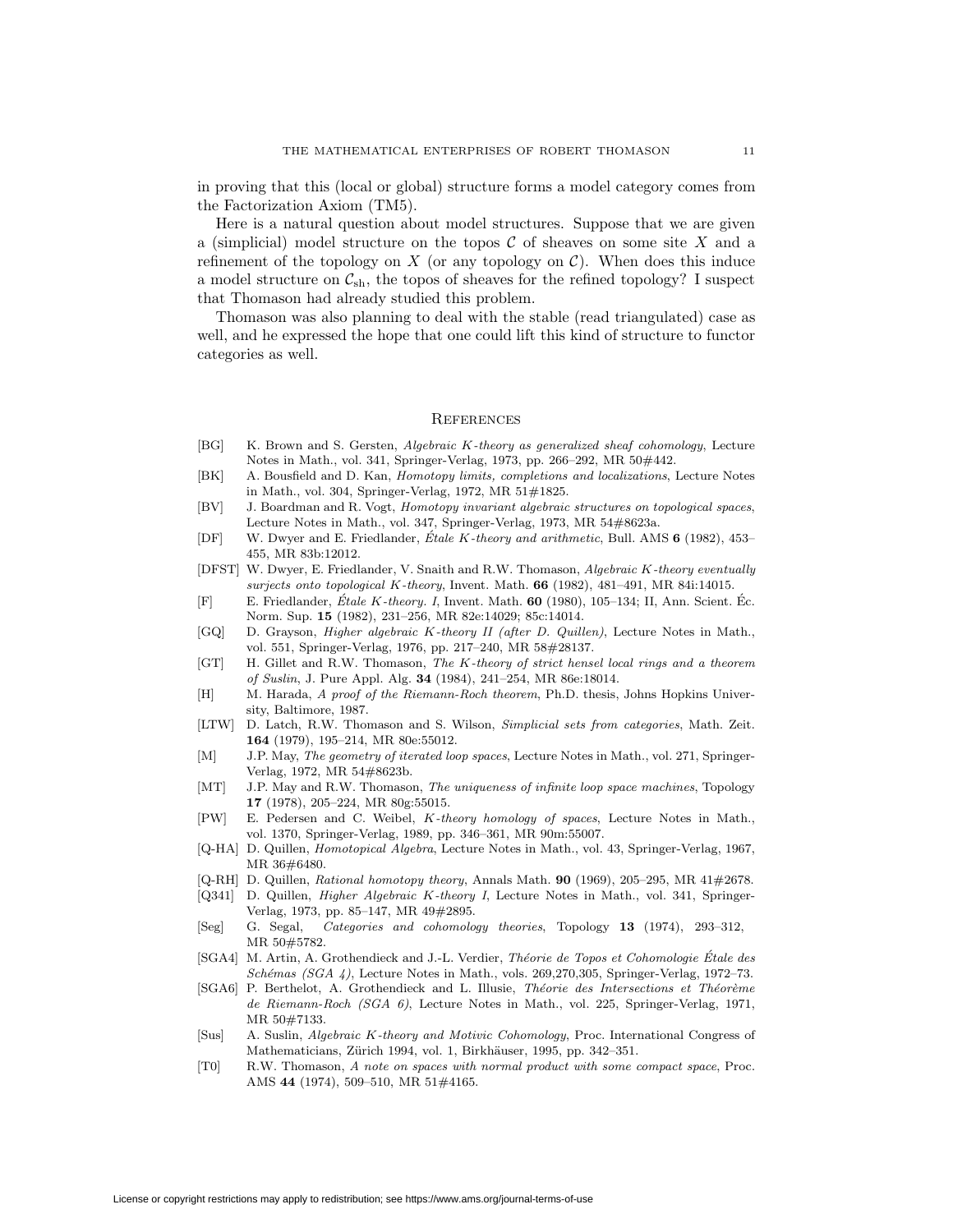in proving that this (local or global) structure forms a model category comes from the Factorization Axiom (TM5).

Here is a natural question about model structures. Suppose that we are given a (simplicial) model structure on the topos  $C$  of sheaves on some site X and a refinement of the topology on X (or any topology on  $\mathcal C$ ). When does this induce a model structure on  $\mathcal{C}_{\mathrm{sh}},$  the topos of sheaves for the refined topology? I suspect that Thomason had already studied this problem.

Thomason was also planning to deal with the stable (read triangulated) case as well, and he expressed the hope that one could lift this kind of structure to functor categories as well.

# **REFERENCES**

- [BG] K. Brown and S. Gersten, Algebraic K-theory as generalized sheaf cohomology, Lecture Notes in Math., vol. 341, Springer-Verlag, 1973, pp. 266–292, MR 50#442.
- [BK] A. Bousfield and D. Kan, Homotopy limits, completions and localizations, Lecture Notes in Math., vol. 304, Springer-Verlag, 1972, MR 51#1825.
- [BV] J. Boardman and R. Vogt, Homotopy invariant algebraic structures on topological spaces, Lecture Notes in Math., vol. 347, Springer-Verlag, 1973, MR 54#8623a.
- [DF] W. Dwyer and E. Friedlander, Étale K-theory and arithmetic, Bull. AMS 6 (1982), 453– 455, MR 83b:12012.
- [DFST] W. Dwyer, E. Friedlander, V. Snaith and R.W. Thomason, Algebraic K-theory eventually surjects onto topological K-theory, Invent. Math. **66** (1982), 481–491, MR 84i:14015.
- [F] E. Friedlander, Étale K-theory. I, Invent. Math. **60** (1980), 105–134; II, Ann. Scient. Éc. Norm. Sup. **15** (1982), 231–256, MR 82e:14029; 85c:14014.
- [GQ] D. Grayson, Higher algebraic K-theory II (after D. Quillen), Lecture Notes in Math., vol. 551, Springer-Verlag, 1976, pp. 217–240, MR 58#28137.
- [GT] H. Gillet and R.W. Thomason, The K-theory of strict hensel local rings and a theorem of Suslin, J. Pure Appl. Alg. **34** (1984), 241–254, MR 86e:18014.
- [H] M. Harada, A proof of the Riemann-Roch theorem, Ph.D. thesis, Johns Hopkins University, Baltimore, 1987.
- [LTW] D. Latch, R.W. Thomason and S. Wilson, Simplicial sets from categories, Math. Zeit. **164** (1979), 195–214, MR 80e:55012.
- [M] J.P. May, The geometry of iterated loop spaces, Lecture Notes in Math., vol. 271, Springer-Verlag, 1972, MR 54#8623b.
- [MT] J.P. May and R.W. Thomason, The uniqueness of infinite loop space machines, Topology **17** (1978), 205–224, MR 80g:55015.
- [PW] E. Pedersen and C. Weibel, K-theory homology of spaces, Lecture Notes in Math., vol. 1370, Springer-Verlag, 1989, pp. 346–361, MR 90m:55007.
- [Q-HA] D. Quillen, Homotopical Algebra, Lecture Notes in Math., vol. 43, Springer-Verlag, 1967, MR 36#6480.
- [Q-RH] D. Quillen, Rational homotopy theory, Annals Math. **90** (1969), 205–295, MR 41#2678.
- [Q341] D. Quillen, Higher Algebraic K-theory I, Lecture Notes in Math., vol. 341, Springer-Verlag, 1973, pp. 85–147, MR 49#2895.
- [Seg] G. Segal, Categories and cohomology theories, Topology **13** (1974), 293–312, MR 50#5782.
- [SGA4] M. Artin, A. Grothendieck and J.-L. Verdier, Théorie de Topos et Cohomologie Étale des  $Schémas (SGA 4)$ , Lecture Notes in Math., vols. 269,270,305, Springer-Verlag, 1972–73.
- [SGA6] P. Berthelot, A. Grothendieck and L. Illusie, Théorie des Intersections et Théorème de Riemann-Roch (SGA 6), Lecture Notes in Math., vol. 225, Springer-Verlag, 1971, MR 50#7133.
- [Sus] A. Suslin, Algebraic K-theory and Motivic Cohomology, Proc. International Congress of Mathematicians, Zürich 1994, vol. 1, Birkhäuser, 1995, pp. 342-351.
- [T0] R.W. Thomason, A note on spaces with normal product with some compact space, Proc. AMS **44** (1974), 509–510, MR 51#4165.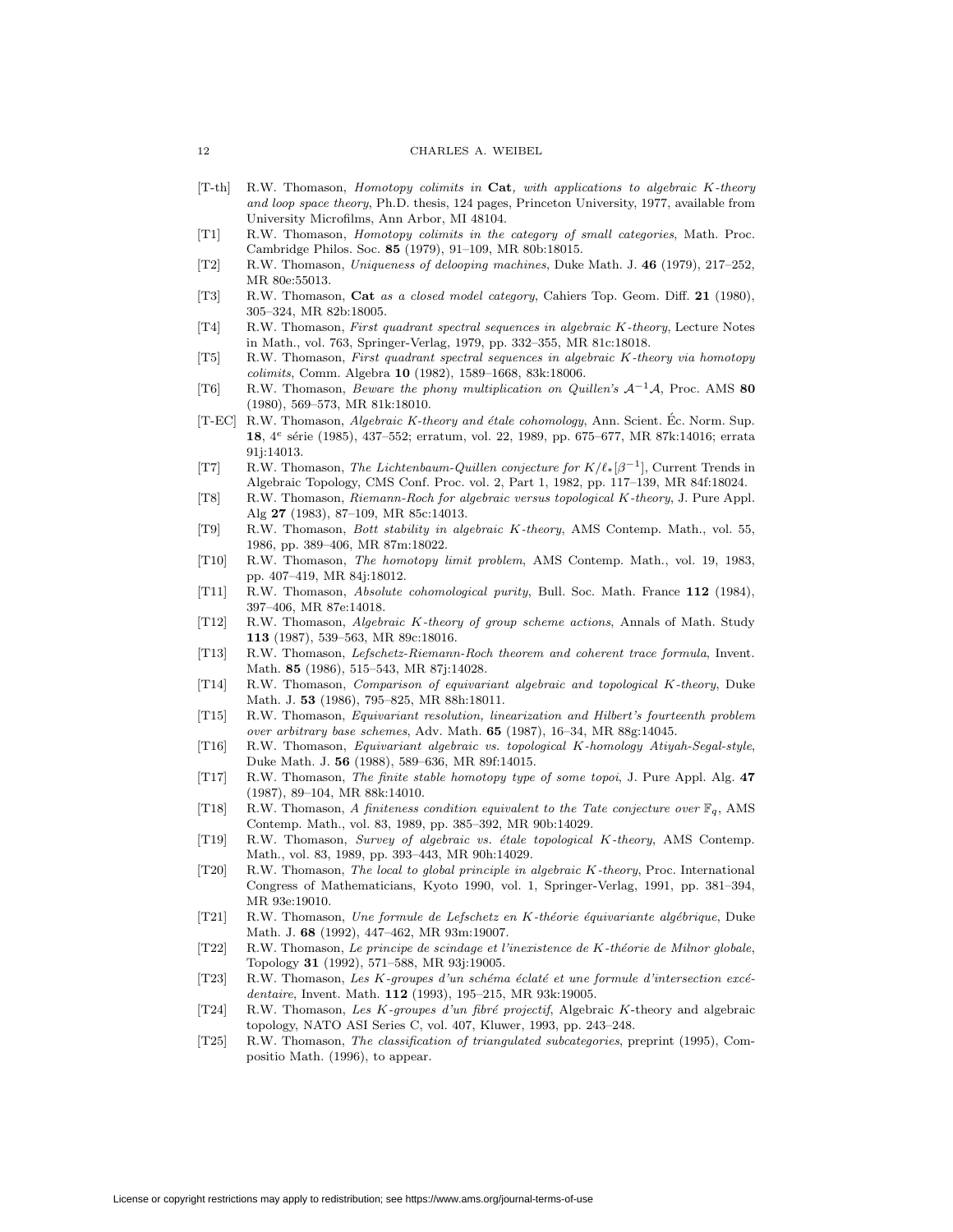- [T-th] R.W. Thomason, Homotopy colimits in **Cat**, with applications to algebraic K-theory and loop space theory, Ph.D. thesis, 124 pages, Princeton University, 1977, available from University Microfilms, Ann Arbor, MI 48104.
- [T1] R.W. Thomason, Homotopy colimits in the category of small categories, Math. Proc. Cambridge Philos. Soc. **85** (1979), 91–109, MR 80b:18015.
- [T2] R.W. Thomason, Uniqueness of delooping machines, Duke Math. J. **46** (1979), 217–252, MR 80e:55013.
- [T3] R.W. Thomason, **Cat** as a closed model category, Cahiers Top. Geom. Diff. **21** (1980), 305–324, MR 82b:18005.
- [T4] R.W. Thomason, First quadrant spectral sequences in algebraic K-theory, Lecture Notes in Math., vol. 763, Springer-Verlag, 1979, pp. 332–355, MR 81c:18018.
- [T5] R.W. Thomason, First quadrant spectral sequences in algebraic K-theory via homotopy colimits, Comm. Algebra **10** (1982), 1589–1668, 83k:18006.
- [T6] R.W. Thomason, Beware the phony multiplication on Quillen's <sup>A</sup>−1A, Proc. AMS **<sup>80</sup>** (1980), 569–573, MR 81k:18010.
- [T-EC] R.W. Thomason, Algebraic K-theory and étale cohomology, Ann. Scient. Éc. Norm. Sup. 18, 4<sup>e</sup> série (1985), 437–552; erratum, vol. 22, 1989, pp. 675–677, MR 87k:14016; errata 91j:14013.
- [T7] R.W. Thomason, The Lichtenbaum-Quillen conjecture for  $K/\ell_*[\beta^{-1}]$ , Current Trends in Algebraic Topology, CMS Conf. Proc. vol. 2, Part 1, 1982, pp. 117–139, MR 84f:18024.
- [T8] R.W. Thomason, Riemann-Roch for algebraic versus topological K-theory, J. Pure Appl. Alg **27** (1983), 87–109, MR 85c:14013.
- [T9] R.W. Thomason, Bott stability in algebraic K-theory, AMS Contemp. Math., vol. 55, 1986, pp. 389–406, MR 87m:18022.
- [T10] R.W. Thomason, The homotopy limit problem, AMS Contemp. Math., vol. 19, 1983, pp. 407–419, MR 84j:18012.
- [T11] R.W. Thomason, Absolute cohomological purity, Bull. Soc. Math. France **112** (1984), 397–406, MR 87e:14018.
- [T12] R.W. Thomason, Algebraic K-theory of group scheme actions, Annals of Math. Study **113** (1987), 539–563, MR 89c:18016.
- [T13] R.W. Thomason, Lefschetz-Riemann-Roch theorem and coherent trace formula, Invent. Math. **85** (1986), 515–543, MR 87j:14028.
- [T14] R.W. Thomason, Comparison of equivariant algebraic and topological K-theory, Duke Math. J. **53** (1986), 795–825, MR 88h:18011.
- [T15] R.W. Thomason, Equivariant resolution, linearization and Hilbert's fourteenth problem over arbitrary base schemes, Adv. Math. **65** (1987), 16–34, MR 88g:14045.
- [T16] R.W. Thomason, Equivariant algebraic vs. topological K-homology Atiyah-Segal-style, Duke Math. J. **56** (1988), 589–636, MR 89f:14015.
- [T17] R.W. Thomason, The finite stable homotopy type of some topoi, J. Pure Appl. Alg. **47** (1987), 89–104, MR 88k:14010.
- [T18] R.W. Thomason, A finiteness condition equivalent to the Tate conjecture over  $\mathbb{F}_q$ , AMS Contemp. Math., vol. 83, 1989, pp. 385–392, MR 90b:14029.
- [T19] R.W. Thomason, Survey of algebraic vs. étale topological K-theory, AMS Contemp. Math., vol. 83, 1989, pp. 393–443, MR 90h:14029.
- [T20] R.W. Thomason, The local to global principle in algebraic K-theory, Proc. International Congress of Mathematicians, Kyoto 1990, vol. 1, Springer-Verlag, 1991, pp. 381–394, MR 93e:19010.
- [T21] R.W. Thomason, Une formule de Lefschetz en K-théorie équivariante algébrique, Duke Math. J. **68** (1992), 447–462, MR 93m:19007.
- [T22] R.W. Thomason, Le principe de scindage et l'inexistence de K-théorie de Milnor globale, Topology **31** (1992), 571–588, MR 93j:19005.
- $[T23]$  R.W. Thomason, Les K-groupes d'un schéma éclaté et une formule d'intersection excédentaire, Invent. Math. **112** (1993), 195–215, MR 93k:19005.
- [T24] R.W. Thomason, Les K-groupes d'un fibré projectif, Algebraic K-theory and algebraic topology, NATO ASI Series C, vol. 407, Kluwer, 1993, pp. 243–248.
- [T25] R.W. Thomason, The classification of triangulated subcategories, preprint (1995), Compositio Math. (1996), to appear.